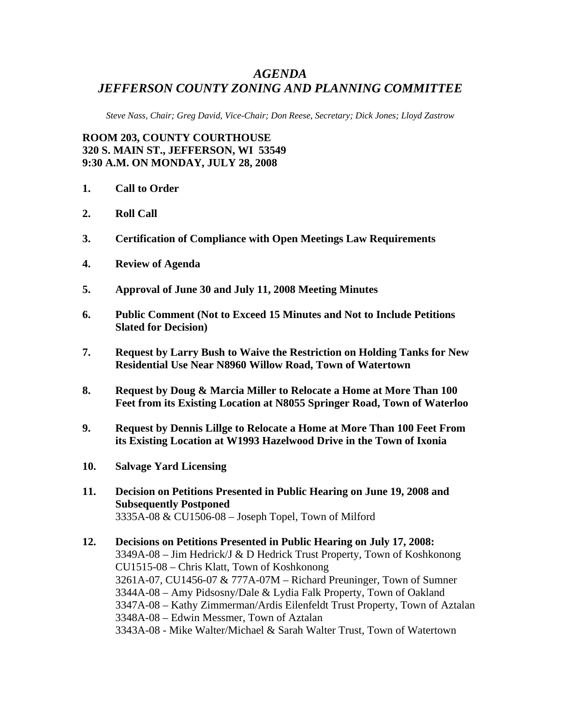## *AGENDA JEFFERSON COUNTY ZONING AND PLANNING COMMITTEE*

*Steve Nass, Chair; Greg David, Vice-Chair; Don Reese, Secretary; Dick Jones; Lloyd Zastrow* 

**ROOM 203, COUNTY COURTHOUSE 320 S. MAIN ST., JEFFERSON, WI 53549 9:30 A.M. ON MONDAY, JULY 28, 2008** 

- **1. Call to Order**
- **2. Roll Call**
- **3. Certification of Compliance with Open Meetings Law Requirements**
- **4. Review of Agenda**
- **5. Approval of June 30 and July 11, 2008 Meeting Minutes**
- **6. Public Comment (Not to Exceed 15 Minutes and Not to Include Petitions Slated for Decision)**
- **7. Request by Larry Bush to Waive the Restriction on Holding Tanks for New Residential Use Near N8960 Willow Road, Town of Watertown**
- **8. Request by Doug & Marcia Miller to Relocate a Home at More Than 100 Feet from its Existing Location at N8055 Springer Road, Town of Waterloo**
- **9. Request by Dennis Lillge to Relocate a Home at More Than 100 Feet From its Existing Location at W1993 Hazelwood Drive in the Town of Ixonia**
- **10. Salvage Yard Licensing**
- **11. Decision on Petitions Presented in Public Hearing on June 19, 2008 and Subsequently Postponed**  3335A-08 & CU1506-08 – Joseph Topel, Town of Milford
- **12. Decisions on Petitions Presented in Public Hearing on July 17, 2008:**  3349A-08 – Jim Hedrick/J & D Hedrick Trust Property, Town of Koshkonong CU1515-08 – Chris Klatt, Town of Koshkonong 3261A-07, CU1456-07 & 777A-07M – Richard Preuninger, Town of Sumner 3344A-08 – Amy Pidsosny/Dale & Lydia Falk Property, Town of Oakland 3347A-08 – Kathy Zimmerman/Ardis Eilenfeldt Trust Property, Town of Aztalan 3348A-08 – Edwin Messmer, Town of Aztalan 3343A-08 - Mike Walter/Michael & Sarah Walter Trust, Town of Watertown